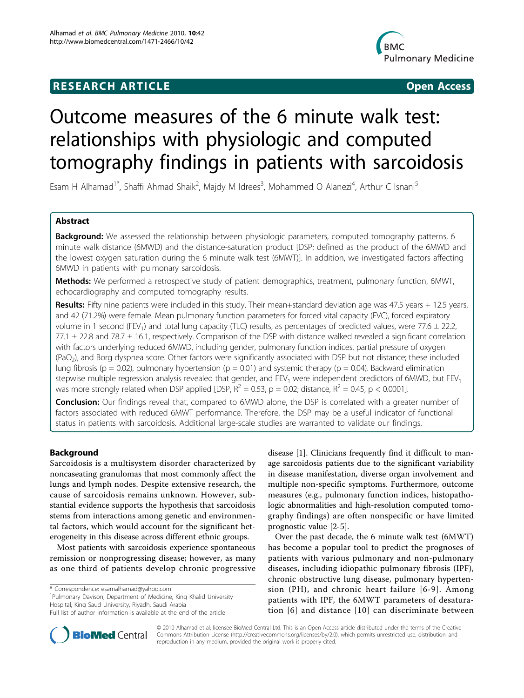## **RESEARCH ARTICLE Example 2018 CONSUMING ACCESS**



# Outcome measures of the 6 minute walk test: relationships with physiologic and computed tomography findings in patients with sarcoidosis

Esam H Alhamad<sup>1\*</sup>, Shaffi Ahmad Shaik<sup>2</sup>, Majdy M Idrees<sup>3</sup>, Mohammed O Alanezi<sup>4</sup>, Arthur C Isnani<sup>5</sup>

## Abstract

Background: We assessed the relationship between physiologic parameters, computed tomography patterns, 6 minute walk distance (6MWD) and the distance-saturation product [DSP; defined as the product of the 6MWD and the lowest oxygen saturation during the 6 minute walk test (6MWT)]. In addition, we investigated factors affecting 6MWD in patients with pulmonary sarcoidosis.

Methods: We performed a retrospective study of patient demographics, treatment, pulmonary function, 6MWT, echocardiography and computed tomography results.

Results: Fifty nine patients were included in this study. Their mean+standard deviation age was  $47.5$  years + 12.5 years, and 42 (71.2%) were female. Mean pulmonary function parameters for forced vital capacity (FVC), forced expiratory volume in 1 second (FEV<sub>1</sub>) and total lung capacity (TLC) results, as percentages of predicted values, were 77.6  $\pm$  22.2,  $77.1 \pm 22.8$  and  $78.7 \pm 16.1$ , respectively. Comparison of the DSP with distance walked revealed a significant correlation with factors underlying reduced 6MWD, including gender, pulmonary function indices, partial pressure of oxygen (PaO2), and Borg dyspnea score. Other factors were significantly associated with DSP but not distance; these included lung fibrosis ( $p = 0.02$ ), pulmonary hypertension ( $p = 0.01$ ) and systemic therapy ( $p = 0.04$ ). Backward elimination stepwise multiple regression analysis revealed that gender, and FEV<sub>1</sub> were independent predictors of 6MWD, but FEV<sub>1</sub> was more strongly related when DSP applied [DSP,  $R^2 = 0.53$ , p = 0.02; distance,  $R^2 = 0.45$ , p < 0.0001].

Conclusion: Our findings reveal that, compared to 6MWD alone, the DSP is correlated with a greater number of factors associated with reduced 6MWT performance. Therefore, the DSP may be a useful indicator of functional status in patients with sarcoidosis. Additional large-scale studies are warranted to validate our findings.

## Background

Sarcoidosis is a multisystem disorder characterized by noncaseating granulomas that most commonly affect the lungs and lymph nodes. Despite extensive research, the cause of sarcoidosis remains unknown. However, substantial evidence supports the hypothesis that sarcoidosis stems from interactions among genetic and environmental factors, which would account for the significant heterogeneity in this disease across different ethnic groups.

Most patients with sarcoidosis experience spontaneous remission or nonprogressing disease; however, as many as one third of patients develop chronic progressive

\* Correspondence: [esamalhamad@yahoo.com](mailto:esamalhamad@yahoo.com)

<sup>1</sup>Pulmonary Davison, Department of Medicine, King Khalid University Hospital, King Saud University, Riyadh, Saudi Arabia

disease [[1\]](#page-5-0). Clinicians frequently find it difficult to manage sarcoidosis patients due to the significant variability in disease manifestation, diverse organ involvement and multiple non-specific symptoms. Furthermore, outcome measures (e.g., pulmonary function indices, histopathologic abnormalities and high-resolution computed tomography findings) are often nonspecific or have limited prognostic value [\[2](#page-5-0)-[5\]](#page-5-0).

Over the past decade, the 6 minute walk test (6MWT) has become a popular tool to predict the prognoses of patients with various pulmonary and non-pulmonary diseases, including idiopathic pulmonary fibrosis (IPF), chronic obstructive lung disease, pulmonary hypertension (PH), and chronic heart failure [[6](#page-5-0)-[9\]](#page-6-0). Among patients with IPF, the 6MWT parameters of desaturation [[6](#page-5-0)] and distance [[10](#page-6-0)] can discriminate between



© 2010 Alhamad et al; licensee BioMed Central Ltd. This is an Open Access article distributed under the terms of the Creative Commons Attribution License [\(http://creativecommons.org/licenses/by/2.0](http://creativecommons.org/licenses/by/2.0)), which permits unrestricted use, distribution, and reproduction in any medium, provided the original work is properly cited.

Full list of author information is available at the end of the article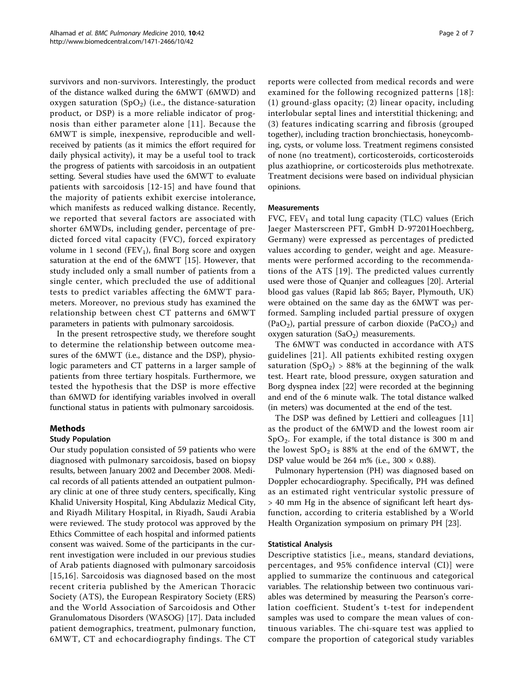survivors and non-survivors. Interestingly, the product of the distance walked during the 6MWT (6MWD) and oxygen saturation  $(SpO<sub>2</sub>)$  (i.e., the distance-saturation product, or DSP) is a more reliable indicator of prognosis than either parameter alone [[11\]](#page-6-0). Because the 6MWT is simple, inexpensive, reproducible and wellreceived by patients (as it mimics the effort required for daily physical activity), it may be a useful tool to track the progress of patients with sarcoidosis in an outpatient setting. Several studies have used the 6MWT to evaluate patients with sarcoidosis [[12](#page-6-0)-[15\]](#page-6-0) and have found that the majority of patients exhibit exercise intolerance, which manifests as reduced walking distance. Recently, we reported that several factors are associated with shorter 6MWDs, including gender, percentage of predicted forced vital capacity (FVC), forced expiratory volume in 1 second ( $FEV<sub>1</sub>$ ), final Borg score and oxygen saturation at the end of the 6MWT [[15\]](#page-6-0). However, that study included only a small number of patients from a single center, which precluded the use of additional tests to predict variables affecting the 6MWT parameters. Moreover, no previous study has examined the relationship between chest CT patterns and 6MWT parameters in patients with pulmonary sarcoidosis.

In the present retrospective study, we therefore sought to determine the relationship between outcome measures of the 6MWT (i.e., distance and the DSP), physiologic parameters and CT patterns in a larger sample of patients from three tertiary hospitals. Furthermore, we tested the hypothesis that the DSP is more effective than 6MWD for identifying variables involved in overall functional status in patients with pulmonary sarcoidosis.

## Methods

## Study Population

Our study population consisted of 59 patients who were diagnosed with pulmonary sarcoidosis, based on biopsy results, between January 2002 and December 2008. Medical records of all patients attended an outpatient pulmonary clinic at one of three study centers, specifically, King Khalid University Hospital, King Abdulaziz Medical City, and Riyadh Military Hospital, in Riyadh, Saudi Arabia were reviewed. The study protocol was approved by the Ethics Committee of each hospital and informed patients consent was waived. Some of the participants in the current investigation were included in our previous studies of Arab patients diagnosed with pulmonary sarcoidosis [[15,16\]](#page-6-0). Sarcoidosis was diagnosed based on the most recent criteria published by the American Thoracic Society (ATS), the European Respiratory Society (ERS) and the World Association of Sarcoidosis and Other Granulomatous Disorders (WASOG) [\[17](#page-6-0)]. Data included patient demographics, treatment, pulmonary function, 6MWT, CT and echocardiography findings. The CT

reports were collected from medical records and were examined for the following recognized patterns [[18\]](#page-6-0): (1) ground-glass opacity; (2) linear opacity, including interlobular septal lines and interstitial thickening; and (3) features indicating scarring and fibrosis (grouped together), including traction bronchiectasis, honeycombing, cysts, or volume loss. Treatment regimens consisted of none (no treatment), corticosteroids, corticosteroids plus azathioprine, or corticosteroids plus methotrexate. Treatment decisions were based on individual physician opinions.

#### Measurements

FVC,  $FEV_1$  and total lung capacity (TLC) values (Erich Jaeger Masterscreen PFT, GmbH D-97201Hoechberg, Germany) were expressed as percentages of predicted values according to gender, weight and age. Measurements were performed according to the recommendations of the ATS [[19](#page-6-0)]. The predicted values currently used were those of Quanjer and colleagues [[20\]](#page-6-0). Arterial blood gas values (Rapid lab 865; Bayer, Plymouth, UK) were obtained on the same day as the 6MWT was performed. Sampling included partial pressure of oxygen  $(PaO<sub>2</sub>)$ , partial pressure of carbon dioxide  $(PaCO<sub>2</sub>)$  and oxygen saturation  $(SaO<sub>2</sub>)$  measurements.

The 6MWT was conducted in accordance with ATS guidelines [[21](#page-6-0)]. All patients exhibited resting oxygen saturation (SpO<sub>2</sub>) > 88% at the beginning of the walk test. Heart rate, blood pressure, oxygen saturation and Borg dyspnea index [[22](#page-6-0)] were recorded at the beginning and end of the 6 minute walk. The total distance walked (in meters) was documented at the end of the test.

The DSP was defined by Lettieri and colleagues [\[11](#page-6-0)] as the product of the 6MWD and the lowest room air  $SpO<sub>2</sub>$ . For example, if the total distance is 300 m and the lowest  $SpO<sub>2</sub>$  is 88% at the end of the 6MWT, the DSP value would be 264 m% (i.e.,  $300 \times 0.88$ ).

Pulmonary hypertension (PH) was diagnosed based on Doppler echocardiography. Specifically, PH was defined as an estimated right ventricular systolic pressure of > 40 mm Hg in the absence of significant left heart dysfunction, according to criteria established by a World Health Organization symposium on primary PH [\[23](#page-6-0)].

## Statistical Analysis

Descriptive statistics [i.e., means, standard deviations, percentages, and 95% confidence interval (CI)] were applied to summarize the continuous and categorical variables. The relationship between two continuous variables was determined by measuring the Pearson's correlation coefficient. Student's t-test for independent samples was used to compare the mean values of continuous variables. The chi-square test was applied to compare the proportion of categorical study variables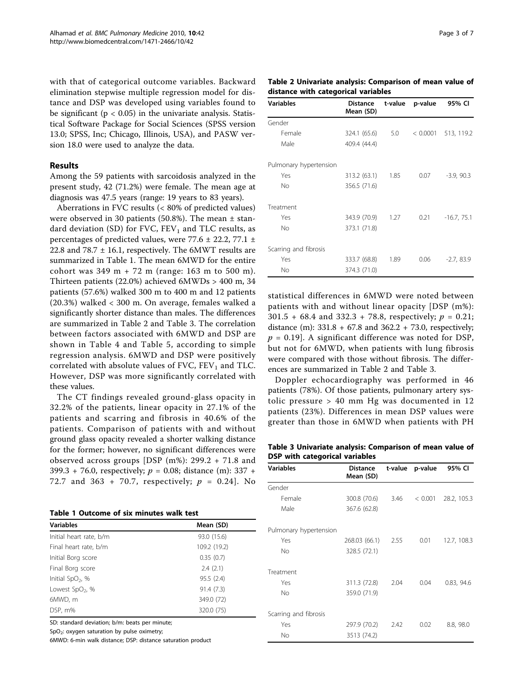<span id="page-2-0"></span>with that of categorical outcome variables. Backward elimination stepwise multiple regression model for distance and DSP was developed using variables found to be significant ( $p < 0.05$ ) in the univariate analysis. Statistical Software Package for Social Sciences (SPSS version 13.0; SPSS, Inc; Chicago, Illinois, USA), and PASW version 18.0 were used to analyze the data.

#### Results

Among the 59 patients with sarcoidosis analyzed in the present study, 42 (71.2%) were female. The mean age at diagnosis was 47.5 years (range: 19 years to 83 years).

Aberrations in FVC results (< 80% of predicted values) were observed in 30 patients (50.8%). The mean  $\pm$  standard deviation (SD) for FVC,  $FEV<sub>1</sub>$  and TLC results, as percentages of predicted values, were  $77.6 \pm 22.2$ ,  $77.1 \pm 1.2$ 22.8 and  $78.7 \pm 16.1$ , respectively. The 6MWT results are summarized in Table 1. The mean 6MWD for the entire cohort was  $349 \text{ m} + 72 \text{ m}$  (range: 163 m to 500 m). Thirteen patients (22.0%) achieved 6MWDs > 400 m, 34 patients (57.6%) walked 300 m to 400 m and 12 patients (20.3%) walked < 300 m. On average, females walked a significantly shorter distance than males. The differences are summarized in Table 2 and Table 3. The correlation between factors associated with 6MWD and DSP are shown in Table [4](#page-3-0) and Table [5,](#page-3-0) according to simple regression analysis. 6MWD and DSP were positively correlated with absolute values of FVC,  $FEV<sub>1</sub>$  and TLC. However, DSP was more significantly correlated with these values.

The CT findings revealed ground-glass opacity in 32.2% of the patients, linear opacity in 27.1% of the patients and scarring and fibrosis in 40.6% of the patients. Comparison of patients with and without ground glass opacity revealed a shorter walking distance for the former; however, no significant differences were observed across groups [DSP (m%): 299.2 + 71.8 and 399.3 + 76.0, respectively;  $p = 0.08$ ; distance (m): 337 + 72.7 and 363 + 70.7, respectively;  $p = 0.24$ . No

Table 1 Outcome of six minutes walk test

| <b>Variables</b>             | Mean (SD)    |
|------------------------------|--------------|
| Initial heart rate, b/m      | 93.0 (15.6)  |
| Final heart rate, b/m        | 109.2 (19.2) |
| Initial Borg score           | 0.35(0.7)    |
| Final Borg score             | 2.4(2.1)     |
| Initial SpO <sub>2</sub> , % | 95.5(2.4)    |
| Lowest SpO <sub>2</sub> , %  | 91.4 (7.3)   |
| 6MWD, m                      | 349.0 (72)   |
| DSP, m%                      | 320.0 (75)   |

SD: standard deviation; b/m: beats per minute;

SpO<sub>2</sub>: oxygen saturation by pulse oximetry;

6MWD: 6-min walk distance; DSP: distance saturation product

Table 2 Univariate analysis: Comparison of mean value of distance with categorical variables

| <b>Variables</b>       | <b>Distance</b><br>Mean (SD) | t-value | p-value  | 95% CI        |
|------------------------|------------------------------|---------|----------|---------------|
| Gender                 |                              |         |          |               |
| Female                 | 324.1 (65.6)                 | 5.0     | < 0.0001 | 513, 119.2    |
| Male                   | 409.4 (44.4)                 |         |          |               |
| Pulmonary hypertension |                              |         |          |               |
| Yes                    | 313.2 (63.1)                 | 1.85    | 0.07     | $-3.9, 90.3$  |
| No                     | 356.5 (71.6)                 |         |          |               |
| Treatment              |                              |         |          |               |
| Yes                    | 343.9 (70.9)                 | 1.27    | 0.21     | $-16.7, 75.1$ |
| No                     | 373.1 (71.8)                 |         |          |               |
| Scarring and fibrosis  |                              |         |          |               |
| Yes                    | 333.7 (68.8)                 | 1.89    | 0.06     | $-2.7,83.9$   |
| No                     | 374.3 (71.0)                 |         |          |               |

statistical differences in 6MWD were noted between patients with and without linear opacity [DSP (m%): 301.5 + 68.4 and 332.3 + 78.8, respectively;  $p = 0.21$ ; distance (m):  $331.8 + 67.8$  and  $362.2 + 73.0$ , respectively;  $p = 0.19$ . A significant difference was noted for DSP, but not for 6MWD, when patients with lung fibrosis were compared with those without fibrosis. The differences are summarized in Table 2 and Table 3.

Doppler echocardiography was performed in 46 patients (78%). Of those patients, pulmonary artery systolic pressure > 40 mm Hg was documented in 12 patients (23%). Differences in mean DSP values were greater than those in 6MWD when patients with PH

Table 3 Univariate analysis: Comparison of mean value of DSP with categorical variables

| <b>Variables</b>       | Distance<br>Mean (SD) |      | t-value p-value | 95% CI      |
|------------------------|-----------------------|------|-----------------|-------------|
| Gender                 |                       |      |                 |             |
| Female                 | 300.8 (70.6)          | 3.46 | < 0.001         | 28.2, 105.3 |
| Male                   | 367.6 (62.8)          |      |                 |             |
| Pulmonary hypertension |                       |      |                 |             |
| Yes                    | 268.03 (66.1)         | 2.55 | 0.01            | 12.7, 108.3 |
| No                     | 328.5 (72.1)          |      |                 |             |
| Treatment              |                       |      |                 |             |
| Yes                    | 311.3 (72.8)          | 2.04 | 0.04            | 0.83, 94.6  |
| No                     | 359.0 (71.9)          |      |                 |             |
| Scarring and fibrosis  |                       |      |                 |             |
| Yes                    | 297.9 (70.2)          | 2.42 | 0.02            | 8.8, 98.0   |
| No                     | 3513 (74.2)           |      |                 |             |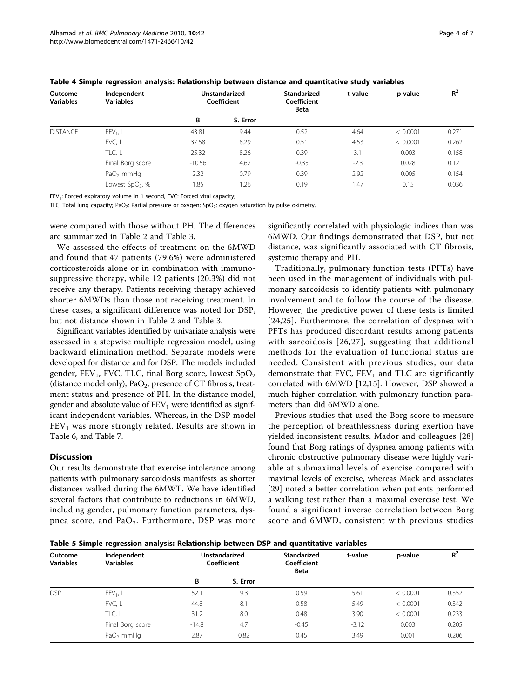| Outcome<br><b>Variables</b> | Independent<br><b>Variables</b> | <b>Unstandarized</b><br>Coefficient |          |         |        |          |       | <b>Standarized</b><br>Coefficient<br><b>Beta</b> | t-value | p-value | $R^2$ |
|-----------------------------|---------------------------------|-------------------------------------|----------|---------|--------|----------|-------|--------------------------------------------------|---------|---------|-------|
|                             |                                 | В                                   | S. Error |         |        |          |       |                                                  |         |         |       |
| <b>DISTANCE</b>             | $FEV_1$ , L                     | 43.81                               | 9.44     | 0.52    | 4.64   | < 0.0001 | 0.271 |                                                  |         |         |       |
|                             | FVC, L                          | 37.58                               | 8.29     | 0.51    | 4.53   | < 0.0001 | 0.262 |                                                  |         |         |       |
|                             | TLC, L                          | 25.32                               | 8.26     | 0.39    | 3.1    | 0.003    | 0.158 |                                                  |         |         |       |
|                             | Final Borg score                | $-10.56$                            | 4.62     | $-0.35$ | $-2.3$ | 0.028    | 0.121 |                                                  |         |         |       |
|                             | $PaO2$ mmHq                     | 2.32                                | 0.79     | 0.39    | 2.92   | 0.005    | 0.154 |                                                  |         |         |       |
|                             | Lowest SpO <sub>2</sub> , %     | 1.85                                | 1.26     | 0.19    | 1.47   | 0.15     | 0.036 |                                                  |         |         |       |

<span id="page-3-0"></span>Table 4 Simple regression analysis: Relationship between distance and quantitative study variables

FEV<sub>1</sub>: Forced expiratory volume in 1 second, FVC: Forced vital capacity;

TLC: Total lung capacity; PaO<sub>2</sub>: Partial pressure or oxygen; SpO<sub>2</sub>: oxygen saturation by pulse oximetry.

were compared with those without PH. The differences are summarized in Table [2](#page-2-0) and Table [3.](#page-2-0)

We assessed the effects of treatment on the 6MWD and found that 47 patients (79.6%) were administered corticosteroids alone or in combination with immunosuppressive therapy, while 12 patients (20.3%) did not receive any therapy. Patients receiving therapy achieved shorter 6MWDs than those not receiving treatment. In these cases, a significant difference was noted for DSP, but not distance shown in Table [2](#page-2-0) and Table [3](#page-2-0).

Significant variables identified by univariate analysis were assessed in a stepwise multiple regression model, using backward elimination method. Separate models were developed for distance and for DSP. The models included gender,  $FEV_1$ , FVC, TLC, final Borg score, lowest  $SpO<sub>2</sub>$ (distance model only),  $PaO<sub>2</sub>$ , presence of CT fibrosis, treatment status and presence of PH. In the distance model, gender and absolute value of  $FEV<sub>1</sub>$  were identified as significant independent variables. Whereas, in the DSP model  $FEV<sub>1</sub>$  was more strongly related. Results are shown in Table [6](#page-4-0), and Table [7.](#page-4-0)

## **Discussion**

Our results demonstrate that exercise intolerance among patients with pulmonary sarcoidosis manifests as shorter distances walked during the 6MWT. We have identified several factors that contribute to reductions in 6MWD, including gender, pulmonary function parameters, dyspnea score, and  $PaO<sub>2</sub>$ . Furthermore, DSP was more

significantly correlated with physiologic indices than was 6MWD. Our findings demonstrated that DSP, but not distance, was significantly associated with CT fibrosis, systemic therapy and PH.

Traditionally, pulmonary function tests (PFTs) have been used in the management of individuals with pulmonary sarcoidosis to identify patients with pulmonary involvement and to follow the course of the disease. However, the predictive power of these tests is limited [[24,25](#page-6-0)]. Furthermore, the correlation of dyspnea with PFTs has produced discordant results among patients with sarcoidosis [[26,27\]](#page-6-0), suggesting that additional methods for the evaluation of functional status are needed. Consistent with previous studies, our data demonstrate that FVC,  $FEV_1$  and TLC are significantly correlated with 6MWD [\[12,15](#page-6-0)]. However, DSP showed a much higher correlation with pulmonary function parameters than did 6MWD alone.

Previous studies that used the Borg score to measure the perception of breathlessness during exertion have yielded inconsistent results. Mador and colleagues [\[28](#page-6-0)] found that Borg ratings of dyspnea among patients with chronic obstructive pulmonary disease were highly variable at submaximal levels of exercise compared with maximal levels of exercise, whereas Mack and associates [[29\]](#page-6-0) noted a better correlation when patients performed a walking test rather than a maximal exercise test. We found a significant inverse correlation between Borg score and 6MWD, consistent with previous studies

Table 5 Simple regression analysis: Relationship between DSP and quantitative variables

| Outcome<br><b>Variables</b> | Independent<br><b>Variables</b> | <b>Unstandarized</b><br>Coefficient |          |         |         | <b>Standarized</b><br>Coefficient<br><b>Beta</b> | t-value | p-value | $R^2$ |
|-----------------------------|---------------------------------|-------------------------------------|----------|---------|---------|--------------------------------------------------|---------|---------|-------|
|                             |                                 | В                                   | S. Error |         |         |                                                  |         |         |       |
| <b>DSP</b>                  | $FEV_1$ , L                     | 52.1                                | 9.3      | 0.59    | 5.61    | < 0.0001                                         | 0.352   |         |       |
|                             | FVC, L                          | 44.8                                | 8.1      | 0.58    | 5.49    | < 0.0001                                         | 0.342   |         |       |
|                             | TLC, L                          | 31.2                                | 8.0      | 0.48    | 3.90    | < 0.0001                                         | 0.233   |         |       |
|                             | Final Borg score                | $-14.8$                             | 4.7      | $-0.45$ | $-3.12$ | 0.003                                            | 0.205   |         |       |
|                             | $PaO2$ mmHq                     | 2.87                                | 0.82     | 0.45    | 3.49    | 0.001                                            | 0.206   |         |       |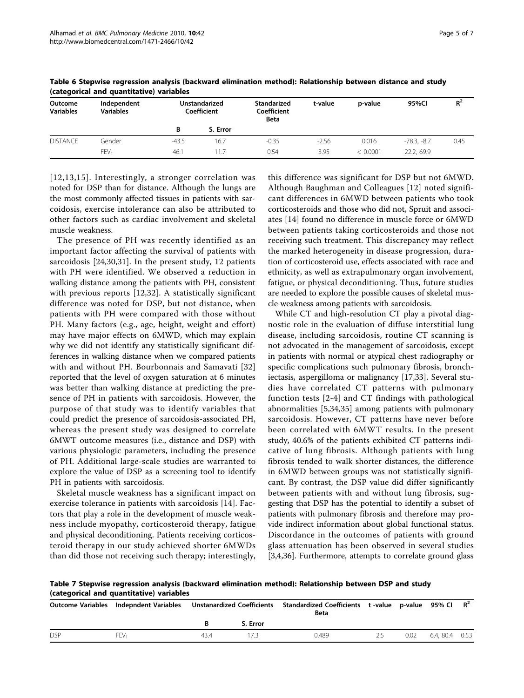| Outcome<br><b>Variables</b> | Independent<br><b>Variables</b> |         | <b>Unstandarized</b><br>Coefficient | Standarized<br>Coefficient<br><b>Beta</b> | t-value | p-value  | 95%CI         | $R^2$ |
|-----------------------------|---------------------------------|---------|-------------------------------------|-------------------------------------------|---------|----------|---------------|-------|
|                             |                                 | B       | S. Error                            |                                           |         |          |               |       |
| <b>DISTANCE</b>             | Gender                          | $-43.5$ | 16.7                                | $-0.35$                                   | $-2.56$ | 0.016    | $-78.3. -8.7$ | 0.45  |
|                             | FEV <sub>1</sub>                | 46.1    | 11.7                                | 0.54                                      | 3.95    | < 0.0001 | 22.2.69.9     |       |

<span id="page-4-0"></span>Table 6 Stepwise regression analysis (backward elimination method): Relationship between distance and study (categorical and quantitative) variables

[[12](#page-6-0),[13](#page-6-0),[15\]](#page-6-0). Interestingly, a stronger correlation was noted for DSP than for distance. Although the lungs are the most commonly affected tissues in patients with sarcoidosis, exercise intolerance can also be attributed to other factors such as cardiac involvement and skeletal muscle weakness.

The presence of PH was recently identified as an important factor affecting the survival of patients with sarcoidosis [[24,30](#page-6-0),[31\]](#page-6-0). In the present study, 12 patients with PH were identified. We observed a reduction in walking distance among the patients with PH, consistent with previous reports [[12,32](#page-6-0)]. A statistically significant difference was noted for DSP, but not distance, when patients with PH were compared with those without PH. Many factors (e.g., age, height, weight and effort) may have major effects on 6MWD, which may explain why we did not identify any statistically significant differences in walking distance when we compared patients with and without PH. Bourbonnais and Samavati [[32](#page-6-0)] reported that the level of oxygen saturation at 6 minutes was better than walking distance at predicting the presence of PH in patients with sarcoidosis. However, the purpose of that study was to identify variables that could predict the presence of sarcoidosis-associated PH, whereas the present study was designed to correlate 6MWT outcome measures (i.e., distance and DSP) with various physiologic parameters, including the presence of PH. Additional large-scale studies are warranted to explore the value of DSP as a screening tool to identify PH in patients with sarcoidosis.

Skeletal muscle weakness has a significant impact on exercise tolerance in patients with sarcoidosis [\[14](#page-6-0)]. Factors that play a role in the development of muscle weakness include myopathy, corticosteroid therapy, fatigue and physical deconditioning. Patients receiving corticosteroid therapy in our study achieved shorter 6MWDs than did those not receiving such therapy; interestingly,

this difference was significant for DSP but not 6MWD. Although Baughman and Colleagues [[12\]](#page-6-0) noted significant differences in 6MWD between patients who took corticosteroids and those who did not, Spruit and associates [[14](#page-6-0)] found no difference in muscle force or 6MWD between patients taking corticosteroids and those not receiving such treatment. This discrepancy may reflect the marked heterogeneity in disease progression, duration of corticosteroid use, effects associated with race and ethnicity, as well as extrapulmonary organ involvement, fatigue, or physical deconditioning. Thus, future studies are needed to explore the possible causes of skeletal muscle weakness among patients with sarcoidosis.

While CT and high-resolution CT play a pivotal diagnostic role in the evaluation of diffuse interstitial lung disease, including sarcoidosis, routine CT scanning is not advocated in the management of sarcoidosis, except in patients with normal or atypical chest radiography or specific complications such pulmonary fibrosis, bronchiectasis, aspergilloma or malignancy [[17,33\]](#page-6-0). Several studies have correlated CT patterns with pulmonary function tests [[2](#page-5-0)-[4](#page-5-0)] and CT findings with pathological abnormalities [[5,](#page-5-0)[34,35](#page-6-0)] among patients with pulmonary sarcoidosis. However, CT patterns have never before been correlated with 6MWT results. In the present study, 40.6% of the patients exhibited CT patterns indicative of lung fibrosis. Although patients with lung fibrosis tended to walk shorter distances, the difference in 6MWD between groups was not statistically significant. By contrast, the DSP value did differ significantly between patients with and without lung fibrosis, suggesting that DSP has the potential to identify a subset of patients with pulmonary fibrosis and therefore may provide indirect information about global functional status. Discordance in the outcomes of patients with ground glass attenuation has been observed in several studies [[3,4,](#page-5-0)[36\]](#page-6-0). Furthermore, attempts to correlate ground glass

Table 7 Stepwise regression analysis (backward elimination method): Relationship between DSP and study (categorical and quantitative) variables

|            |                  | Outcome Variables Indepndent Variables Unstanardized Coefficients Standardized Coefficients t-value p-value 95% Cl R <sup>2</sup> |          | <b>Beta</b> |      |               |  |
|------------|------------------|-----------------------------------------------------------------------------------------------------------------------------------|----------|-------------|------|---------------|--|
|            |                  |                                                                                                                                   | S. Error |             |      |               |  |
| <b>DSP</b> | FFV <sub>1</sub> | 43.4                                                                                                                              |          | 0.489       | 0.02 | 6.4.80.4 0.53 |  |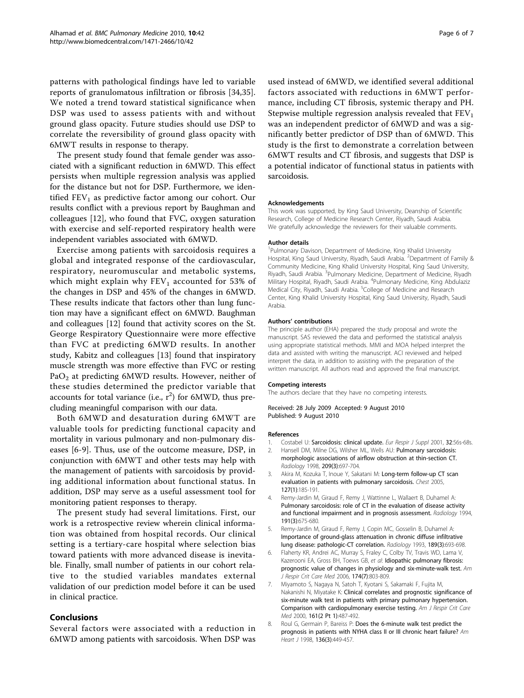<span id="page-5-0"></span>patterns with pathological findings have led to variable reports of granulomatous infiltration or fibrosis [[34,35](#page-6-0)]. We noted a trend toward statistical significance when DSP was used to assess patients with and without ground glass opacity. Future studies should use DSP to correlate the reversibility of ground glass opacity with 6MWT results in response to therapy.

The present study found that female gender was associated with a significant reduction in 6MWD. This effect persists when multiple regression analysis was applied for the distance but not for DSP. Furthermore, we identified  $FEV<sub>1</sub>$  as predictive factor among our cohort. Our results conflict with a previous report by Baughman and colleagues [[12](#page-6-0)], who found that FVC, oxygen saturation with exercise and self-reported respiratory health were independent variables associated with 6MWD.

Exercise among patients with sarcoidosis requires a global and integrated response of the cardiovascular, respiratory, neuromuscular and metabolic systems, which might explain why  $FEV<sub>1</sub>$  accounted for 53% of the changes in DSP and 45% of the changes in 6MWD. These results indicate that factors other than lung function may have a significant effect on 6MWD. Baughman and colleagues [[12\]](#page-6-0) found that activity scores on the St. George Respiratory Questionnaire were more effective than FVC at predicting 6MWD results. In another study, Kabitz and colleagues [[13\]](#page-6-0) found that inspiratory muscle strength was more effective than FVC or resting PaO<sub>2</sub> at predicting 6MWD results. However, neither of these studies determined the predictor variable that accounts for total variance (i.e.,  $r^2$ ) for 6MWD, thus precluding meaningful comparison with our data.

Both 6MWD and desaturation during 6MWT are valuable tools for predicting functional capacity and mortality in various pulmonary and non-pulmonary diseases [6[-9](#page-6-0)]. Thus, use of the outcome measure, DSP, in conjunction with 6MWT and other tests may help with the management of patients with sarcoidosis by providing additional information about functional status. In addition, DSP may serve as a useful assessment tool for monitoring patient responses to therapy.

The present study had several limitations. First, our work is a retrospective review wherein clinical information was obtained from hospital records. Our clinical setting is a tertiary-care hospital where selection bias toward patients with more advanced disease is inevitable. Finally, small number of patients in our cohort relative to the studied variables mandates external validation of our prediction model before it can be used in clinical practice.

## Conclusions

Several factors were associated with a reduction in 6MWD among patients with sarcoidosis. When DSP was used instead of 6MWD, we identified several additional factors associated with reductions in 6MWT performance, including CT fibrosis, systemic therapy and PH. Stepwise multiple regression analysis revealed that  $FEV<sub>1</sub>$ was an independent predictor of 6MWD and was a significantly better predictor of DSP than of 6MWD. This study is the first to demonstrate a correlation between 6MWT results and CT fibrosis, and suggests that DSP is a potential indicator of functional status in patients with sarcoidosis.

#### Acknowledgements

This work was supported, by King Saud University, Deanship of Scientific Research, College of Medicine Research Center, Riyadh, Saudi Arabia. We gratefully acknowledge the reviewers for their valuable comments.

#### Author details

<sup>1</sup>Pulmonary Davison, Department of Medicine, King Khalid University Hospital, King Saud University, Riyadh, Saudi Arabia. <sup>2</sup>Department of Family 8 Community Medicine, King Khalid University Hospital, King Saud University, Riyadh, Saudi Arabia. <sup>3</sup>Pulmonary Medicine, Department of Medicine, Riyadh Military Hospital, Riyadh, Saudi Arabia. <sup>4</sup>Pulmonary Medicine, King Abdulaziz Medical City, Riyadh, Saudi Arabia. <sup>5</sup>College of Medicine and Research Center, King Khalid University Hospital, King Saud University, Riyadh, Saudi Arabia.

#### Authors' contributions

The principle author (EHA) prepared the study proposal and wrote the manuscript. SAS reviewed the data and performed the statistical analysis using appropriate statistical methods. MMI and MOA helped interpret the data and assisted with writing the manuscript. ACI reviewed and helped interpret the data, in addition to assisting with the preparation of the written manuscript. All authors read and approved the final manuscript.

#### Competing interests

The authors declare that they have no competing interests.

Received: 28 July 2009 Accepted: 9 August 2010 Published: 9 August 2010

#### References

- 1. Costabel U: [Sarcoidosis: clinical update.](http://www.ncbi.nlm.nih.gov/pubmed/11816825?dopt=Abstract) Eur Respir J Suppl 2001, 32:56s-68s.
- 2. Hansell DM, Milne DG, Wilsher ML, Wells AU: [Pulmonary sarcoidosis:](http://www.ncbi.nlm.nih.gov/pubmed/9844661?dopt=Abstract) [morphologic associations of airflow obstruction at thin-section CT.](http://www.ncbi.nlm.nih.gov/pubmed/9844661?dopt=Abstract) Radiology 1998, 209(3):697-704.
- 3. Akira M, Kozuka T, Inoue Y, Sakatani M: [Long-term follow-up CT scan](http://www.ncbi.nlm.nih.gov/pubmed/15653982?dopt=Abstract) [evaluation in patients with pulmonary sarcoidosis.](http://www.ncbi.nlm.nih.gov/pubmed/15653982?dopt=Abstract) Chest 2005, 127(1):185-191.
- 4. Remy-Jardin M, Giraud F, Remy J, Wattinne L, Wallaert B, Duhamel A: [Pulmonary sarcoidosis: role of CT in the evaluation of disease activity](http://www.ncbi.nlm.nih.gov/pubmed/8184045?dopt=Abstract) [and functional impairment and in prognosis assessment.](http://www.ncbi.nlm.nih.gov/pubmed/8184045?dopt=Abstract) Radiology 1994, 191(3):675-680.
- 5. Remy-Jardin M, Giraud F, Remy J, Copin MC, Gosselin B, Duhamel A: [Importance of ground-glass attenuation in chronic diffuse infiltrative](http://www.ncbi.nlm.nih.gov/pubmed/8234692?dopt=Abstract) [lung disease: pathologic-CT correlation.](http://www.ncbi.nlm.nih.gov/pubmed/8234692?dopt=Abstract) Radiology 1993, 189(3):693-698.
- Flaherty KR, Andrei AC, Murray S, Fraley C, Colby TV, Travis WD, Lama V, Kazerooni EA, Gross BH, Toews GB, et al: [Idiopathic pulmonary fibrosis:](http://www.ncbi.nlm.nih.gov/pubmed/16825656?dopt=Abstract) [prognostic value of changes in physiology and six-minute-walk test.](http://www.ncbi.nlm.nih.gov/pubmed/16825656?dopt=Abstract) Am J Respir Crit Care Med 2006, 174(7):803-809.
- 7. Miyamoto S, Nagaya N, Satoh T, Kyotani S, Sakamaki F, Fujita M, Nakanishi N, Miyatake K: [Clinical correlates and prognostic significance of](http://www.ncbi.nlm.nih.gov/pubmed/10673190?dopt=Abstract) [six-minute walk test in patients with primary pulmonary hypertension.](http://www.ncbi.nlm.nih.gov/pubmed/10673190?dopt=Abstract) [Comparison with cardiopulmonary exercise testing.](http://www.ncbi.nlm.nih.gov/pubmed/10673190?dopt=Abstract) Am J Respir Crit Care Med 2000, 161(2 Pt 1):487-492.
- 8. Roul G, Germain P, Bareiss P: [Does the 6-minute walk test predict the](http://www.ncbi.nlm.nih.gov/pubmed/9736136?dopt=Abstract) [prognosis in patients with NYHA class II or III chronic heart failure?](http://www.ncbi.nlm.nih.gov/pubmed/9736136?dopt=Abstract) Am Heart J 1998, 136(3):449-457.